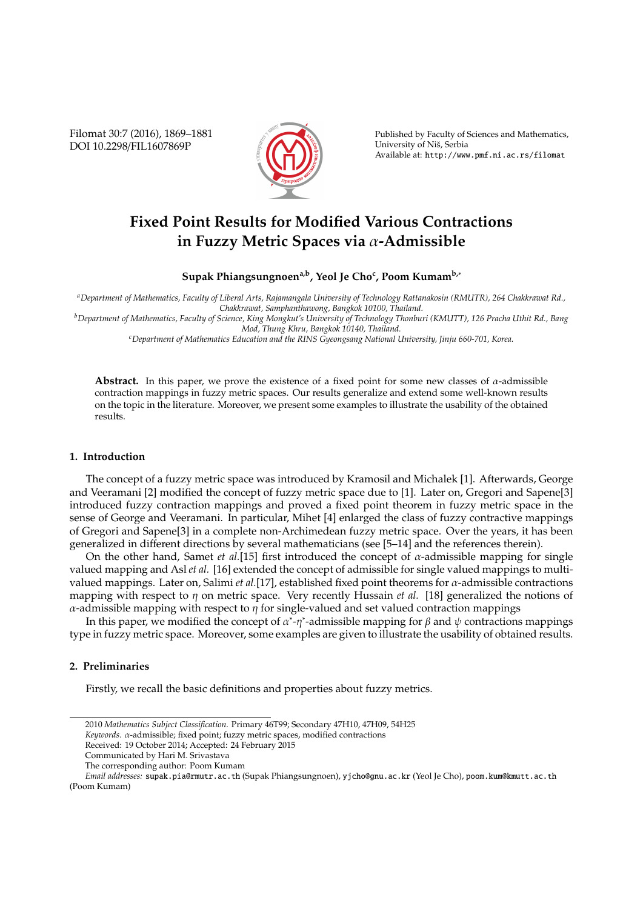Filomat 30:7 (2016), 1869–1881 DOI 10.2298/FIL1607869P



Published by Faculty of Sciences and Mathematics, University of Niš, Serbia Available at: http://www.pmf.ni.ac.rs/filomat

# **Fixed Point Results for Modified Various Contractions in Fuzzy Metric Spaces via** α**-Admissible**

**Supak Phiangsungnoena,b, Yeol Je Cho<sup>c</sup> , Poom Kumamb,**<sup>∗</sup>

*<sup>a</sup>Department of Mathematics, Faculty of Liberal Arts, Rajamangala University of Technology Rattanakosin (RMUTR), 264 Chakkrawat Rd., Chakkrawat, Samphanthawong, Bangkok 10100, Thailand.*

*<sup>b</sup>Department of Mathematics, Faculty of Science, King Mongkut's University of Technology Thonburi (KMUTT), 126 Pracha Uthit Rd., Bang Mod, Thung Khru, Bangkok 10140, Thailand.*

*<sup>c</sup>Department of Mathematics Education and the RINS Gyeongsang National University, Jinju 660-701, Korea.*

**Abstract.** In this paper, we prove the existence of a fixed point for some new classes of  $\alpha$ -admissible contraction mappings in fuzzy metric spaces. Our results generalize and extend some well-known results on the topic in the literature. Moreover, we present some examples to illustrate the usability of the obtained results.

#### **1. Introduction**

The concept of a fuzzy metric space was introduced by Kramosil and Michalek [1]. Afterwards, George and Veeramani [2] modified the concept of fuzzy metric space due to [1]. Later on, Gregori and Sapene[3] introduced fuzzy contraction mappings and proved a fixed point theorem in fuzzy metric space in the sense of George and Veeramani. In particular, Mihet [4] enlarged the class of fuzzy contractive mappings of Gregori and Sapene[3] in a complete non-Archimedean fuzzy metric space. Over the years, it has been generalized in different directions by several mathematicians (see [5–14] and the references therein).

On the other hand, Samet *et al.*[15] first introduced the concept of α-admissible mapping for single valued mapping and Asl *et al.* [16] extended the concept of admissible for single valued mappings to multivalued mappings. Later on, Salimi *et al.*[17], established fixed point theorems for  $\alpha$ -admissible contractions mapping with respect to  $\eta$  on metric space. Very recently Hussain *et al.* [18] generalized the notions of  $\alpha$ -admissible mapping with respect to  $\eta$  for single-valued and set valued contraction mappings

In this paper, we modified the concept of  $\alpha^*$ -η\*-admissible mapping for  $\beta$  and  $\psi$  contractions mappings type in fuzzy metric space. Moreover, some examples are given to illustrate the usability of obtained results.

### **2. Preliminaries**

Firstly, we recall the basic definitions and properties about fuzzy metrics.

<sup>2010</sup> *Mathematics Subject Classification*. Primary 46T99; Secondary 47H10, 47H09, 54H25

*Keywords*. α-admissible; fixed point; fuzzy metric spaces, modified contractions

Received: 19 October 2014; Accepted: 24 February 2015

Communicated by Hari M. Srivastava

The corresponding author: Poom Kumam

*Email addresses:* supak.pia@rmutr.ac.th (Supak Phiangsungnoen), yjcho@gnu.ac.kr (Yeol Je Cho), poom.kum@kmutt.ac.th (Poom Kumam)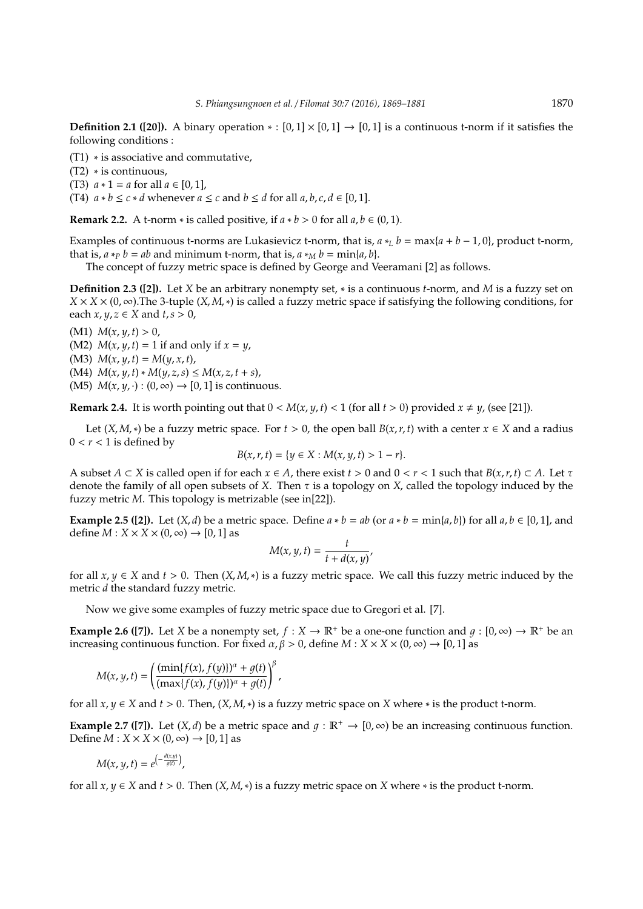**Definition 2.1 ([20]).** A binary operation  $* : [0,1] \times [0,1] \rightarrow [0,1]$  is a continuous t-norm if it satisfies the following conditions :

(T1) ∗ is associative and commutative,

(T2) ∗ is continuous,

(T3)  $a * 1 = a$  for all  $a \in [0, 1]$ ,

(T4)  $a * b \le c * d$  whenever  $a \le c$  and  $b \le d$  for all  $a, b, c, d \in [0, 1]$ .

**Remark 2.2.** A t-norm  $*$  is called positive, if  $a * b > 0$  for all  $a, b \in (0, 1)$ .

Examples of continuous t-norms are Lukasievicz t-norm, that is,  $a *_{L} b = \max\{a + b - 1, 0\}$ , product t-norm, that is,  $a *_{P} b = ab$  and minimum t-norm, that is,  $a *_{M} b = \min\{a, b\}$ .

The concept of fuzzy metric space is defined by George and Veeramani [2] as follows.

**Definition 2.3 ([2]).** Let *X* be an arbitrary nonempty set, ∗ is a continuous *t*-norm, and *M* is a fuzzy set on  $X \times X \times (0, \infty)$ . The 3-tuple  $(X, M, *)$  is called a fuzzy metric space if satisfying the following conditions, for each  $x, y, z \in X$  and  $t, s > 0$ ,

(M1)  $M(x, y, t) > 0$ ,

(M2)  $M(x, y, t) = 1$  if and only if  $x = y$ ,

(M3)  $M(x, y, t) = M(y, x, t)$ ,

(M4)  $M(x, y, t) * M(y, z, s) ≤ M(x, z, t + s)$ ,

(M5)  $M(x, y, \cdot) : (0, \infty) \rightarrow [0, 1]$  is continuous.

**Remark 2.4.** It is worth pointing out that  $0 < M(x, y, t) < 1$  (for all  $t > 0$ ) provided  $x \neq y$ , (see [21]).

Let  $(X, M, *)$  be a fuzzy metric space. For  $t > 0$ , the open ball  $B(x, r, t)$  with a center  $x \in X$  and a radius  $0 < r < 1$  is defined by

$$
B(x, r, t) = \{y \in X : M(x, y, t) > 1 - r\}.
$$

A subset  $A \subset X$  is called open if for each  $x \in A$ , there exist  $t > 0$  and  $0 < r < 1$  such that  $B(x, r, t) \subset A$ . Let  $\tau$ denote the family of all open subsets of *X*. Then τ is a topology on *X*, called the topology induced by the fuzzy metric *M*. This topology is metrizable (see in[22]).

**Example 2.5 ([2]).** Let  $(X, d)$  be a metric space. Define  $a * b = ab$  (or  $a * b = min\{a, b\}$ ) for all  $a, b \in [0, 1]$ , and define  $M: X \times X \times (0, \infty) \rightarrow [0, 1]$  as

$$
M(x, y, t) = \frac{t}{t + d(x, y)}
$$

for all  $x, y \in X$  and  $t > 0$ . Then  $(X, M, *)$  is a fuzzy metric space. We call this fuzzy metric induced by the metric *d* the standard fuzzy metric.

Now we give some examples of fuzzy metric space due to Gregori et al. [7].

**Example 2.6 ([7]).** Let *X* be a nonempty set,  $f : X \to \mathbb{R}^+$  be a one-one function and  $g : [0, \infty) \to \mathbb{R}^+$  be an increasing continuous function. For fixed  $\alpha, \beta > 0$ , define  $M : X \times X \times (0, \infty) \rightarrow [0, 1]$  as

$$
M(x, y, t) = \left(\frac{(\min\{f(x), f(y)\})^{\alpha} + g(t)}{(\max\{f(x), f(y)\})^{\alpha} + g(t)}\right)^{\beta},
$$

for all  $x, y \in X$  and  $t > 0$ . Then,  $(X, M, *)$  is a fuzzy metric space on *X* where  $*$  is the product t-norm.

**Example 2.7 ([7]).** Let  $(X, d)$  be a metric space and  $g : \mathbb{R}^+ \to [0, \infty)$  be an increasing continuous function. Define  $M: X \times X \times (0, \infty) \rightarrow [0, 1]$  as

$$
M(x, y, t) = e^{\left(-\frac{d(x, y)}{g(t)}\right)},
$$

for all  $x, y \in X$  and  $t > 0$ . Then  $(X, M, *)$  is a fuzzy metric space on  $X$  where  $*$  is the product t-norm.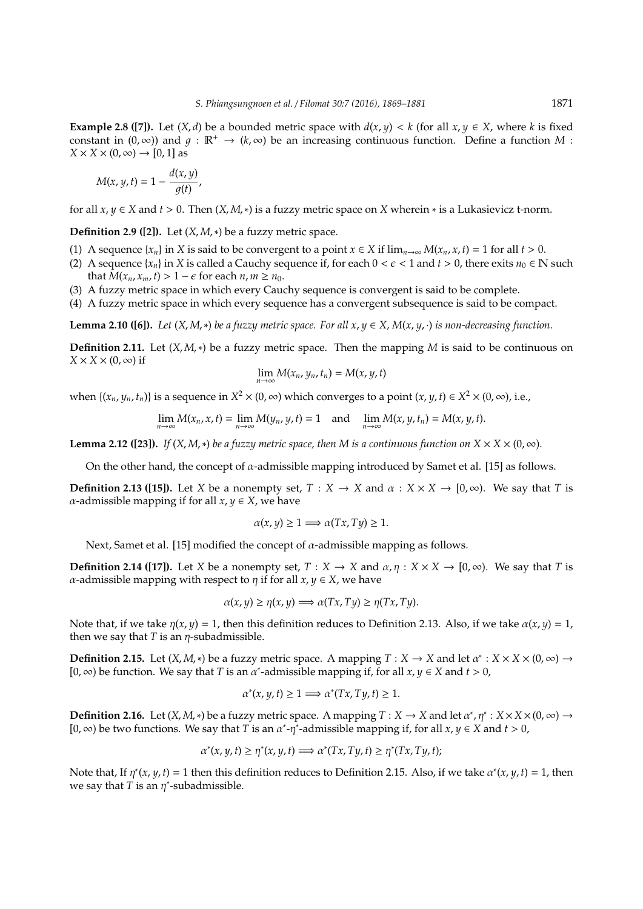**Example 2.8 ([7]).** Let  $(X,d)$  be a bounded metric space with  $d(x, y) < k$  (for all  $x, y \in X$ , where *k* is fixed constant in  $(0, \infty)$ ) and  $q : \mathbb{R}^+ \to (k, \infty)$  be an increasing continuous function. Define a function *M* :  $X \times X \times (0, \infty) \rightarrow [0, 1]$  as

$$
M(x, y, t) = 1 - \frac{d(x, y)}{g(t)},
$$

for all  $x, y \in X$  and  $t > 0$ . Then  $(X, M, *)$  is a fuzzy metric space on *X* wherein  $*$  is a Lukasievicz t-norm.

**Definition 2.9 ([2]).** Let  $(X, M, *)$  be a fuzzy metric space.

- (1) A sequence  $\{x_n\}$  in *X* is said to be convergent to a point  $x \in X$  if  $\lim_{n\to\infty} M(x_n, x, t) = 1$  for all  $t > 0$ .
- (2) A sequence { $x_n$ } in *X* is called a Cauchy sequence if, for each  $0 < \epsilon < 1$  and  $t > 0$ , there exits  $n_0 \in \mathbb{N}$  such that  $M(x_n, x_m, t) > 1 - \epsilon$  for each  $n, m \ge n_0$ .
- (3) A fuzzy metric space in which every Cauchy sequence is convergent is said to be complete.
- (4) A fuzzy metric space in which every sequence has a convergent subsequence is said to be compact.

**Lemma 2.10 ([6]).** *Let*  $(X, M, *)$  *be a fuzzy metric space. For all*  $x, y \in X$ *,*  $M(x, y, \cdot)$  *is non-decreasing function.* 

**Definition 2.11.** Let (*X*, *M*,∗) be a fuzzy metric space. Then the mapping *M* is said to be continuous on  $X \times X \times (0, \infty)$  if

$$
\lim_{n\to\infty} M(x_n, y_n, t_n) = M(x, y, t)
$$

when  $\{(x_n, y_n, t_n)\}\$ is a sequence in  $X^2 \times (0, \infty)$  which converges to a point  $(x, y, t) \in X^2 \times (0, \infty)$ , i.e.,

$$
\lim_{n\to\infty} M(x_n,x,t) = \lim_{n\to\infty} M(y_n,y,t) = 1 \quad \text{and} \quad \lim_{n\to\infty} M(x,y,t_n) = M(x,y,t).
$$

**Lemma 2.12 ([23]).** *If* (*X*, *M*,  $*$ ) *be a fuzzy metric space, then M is a continuous function on*  $X \times X \times (0, \infty)$ *.* 

On the other hand, the concept of  $\alpha$ -admissible mapping introduced by Samet et al. [15] as follows.

**Definition 2.13 ([15]).** Let *X* be a nonempty set,  $T : X \to X$  and  $\alpha : X \times X \to [0, \infty)$ . We say that *T* is *α*-admissible mapping if for all  $x, y \in X$ , we have

$$
\alpha(x, y) \ge 1 \Longrightarrow \alpha(Tx, Ty) \ge 1.
$$

Next, Samet et al. [15] modified the concept of  $\alpha$ -admissible mapping as follows.

**Definition 2.14 ([17]).** Let *X* be a nonempty set,  $T : X \to X$  and  $\alpha, \eta : X \times X \to [0, \infty)$ . We say that *T* is α-admissible mapping with respect to η if for all *x*, *y* ∈ *X*, we have

$$
\alpha(x, y) \ge \eta(x, y) \Longrightarrow \alpha(Tx, Ty) \ge \eta(Tx, Ty).
$$

Note that, if we take  $\eta(x, y) = 1$ , then this definition reduces to Definition 2.13. Also, if we take  $\alpha(x, y) = 1$ , then we say that  $T$  is an  $\eta$ -subadmissible.

**Definition 2.15.** Let  $(X, M, *)$  be a fuzzy metric space. A mapping  $T : X \to X$  and let  $\alpha^* : X \times X \times (0, \infty) \to X$ [0, ∞) be function. We say that *T* is an α ∗ -admissible mapping if, for all *x*, *y* ∈ *X* and *t* > 0,

$$
\alpha^*(x, y, t) \ge 1 \Longrightarrow \alpha^*(Tx, Ty, t) \ge 1.
$$

**Definition 2.16.** Let  $(X, M, *)$  be a fuzzy metric space. A mapping  $T : X \to X$  and let  $\alpha^*, \eta^*: X \times X \times (0, \infty) \to X$  $[0, \infty)$  be two functions. We say that *T* is an  $\alpha^*$ - $\eta^*$ -admissible mapping if, for all  $x, y \in X$  and  $t > 0$ ,

$$
\alpha^*(x, y, t) \ge \eta^*(x, y, t) \Longrightarrow \alpha^*(Tx, Ty, t) \ge \eta^*(Tx, Ty, t);
$$

Note that, If  $\eta^*(x, y, t) = 1$  then this definition reduces to Definition 2.15. Also, if we take  $\alpha^*(x, y, t) = 1$ , then we say that *T* is an  $\eta^*$ -subadmissible.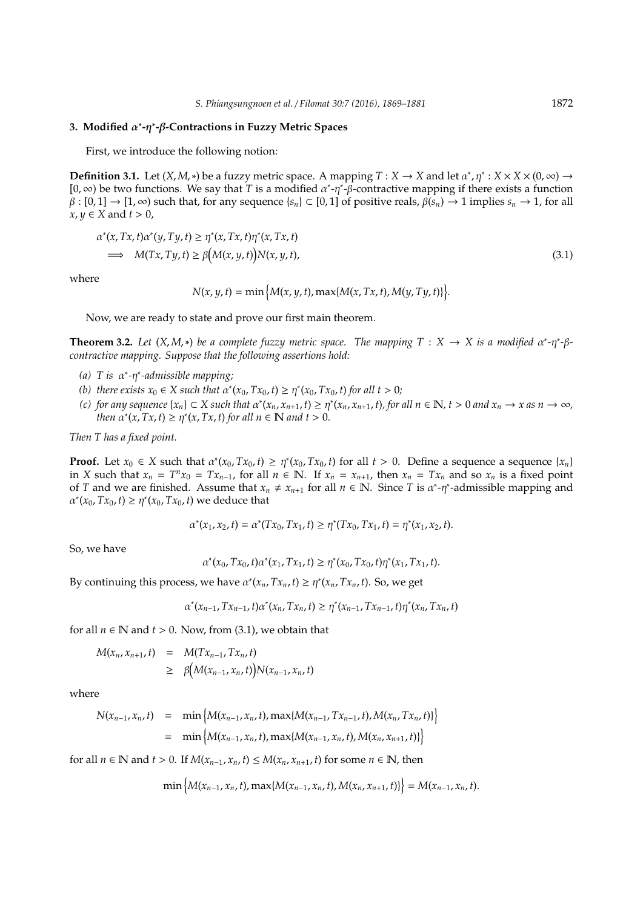# **3. Modified** α ∗ **-**η ∗ **-**β**-Contractions in Fuzzy Metric Spaces**

First, we introduce the following notion:

**Definition 3.1.** Let  $(X, M, *)$  be a fuzzy metric space. A mapping  $T : X \to X$  and let  $\alpha^*, \eta^* : X \times X \times (0, \infty) \to X$ [0, ∞) be two functions. We say that *T* is a modified  $α^*$ -η<sup>\*</sup>-β-contractive mapping if there exists a function  $\beta : [0,1] \to [1,\infty)$  such that, for any sequence  $\{s_n\} \subset [0,1]$  of positive reals,  $\beta(s_n) \to 1$  implies  $s_n \to 1$ , for all *x*, *y* ∈ *X* and *t* > 0,

$$
\alpha^*(x, Tx, t)\alpha^*(y, Ty, t) \ge \eta^*(x, Tx, t)\eta^*(x, Tx, t)
$$
\n
$$
\implies M(Tx, Ty, t) \ge \beta \big(M(x, y, t)\big)N(x, y, t), \tag{3.1}
$$

where

$$
N(x, y, t) = \min \{ M(x, y, t), \max \{ M(x, Tx, t), M(y, Ty, t) \} \}.
$$

Now, we are ready to state and prove our first main theorem.

**Theorem 3.2.** Let  $(X, M, *)$  be a complete fuzzy metric space. The mapping  $T : X \to X$  is a modified  $\alpha^*$ - $\eta^*$ - $\beta$ *contractive mapping. Suppose that the following assertions hold:*

- *(a) T is* α ∗ *-*η ∗ *-admissible mapping;*
- (b) there exists  $x_0 \in X$  such that  $\alpha^*(x_0, Tx_0, t) \geq \eta^*(x_0, Tx_0, t)$  for all  $t > 0$ ;
- (c) for any sequence  $\{x_n\} \subset X$  such that  $\alpha^*(x_n, x_{n+1}, t) \geq \eta^*(x_n, x_{n+1}, t)$ , for all  $n \in \mathbb{N}$ ,  $t > 0$  and  $x_n \to x$  as  $n \to \infty$ , *then*  $\alpha^*(x, Tx, t) \geq \eta^*(x, Tx, t)$  *for all*  $n \in \mathbb{N}$  *and*  $t > 0$ *.*

*Then T has a fixed point.*

**Proof.** Let  $x_0 \in X$  such that  $\alpha^*(x_0, Tx_0, t) \geq \eta^*(x_0, Tx_0, t)$  for all  $t > 0$ . Define a sequence a sequence  $\{x_n\}$ in X such that  $x_n = T^n x_0 = Tx_{n-1}$ , for all  $n \in \mathbb{N}$ . If  $x_n = x_{n+1}$ , then  $x_n = Tx_n$  and so  $x_n$  is a fixed point of *T* and we are finished. Assume that  $x_n \neq x_{n+1}$  for all  $n \in \mathbb{N}$ . Since *T* is  $\alpha^*$ - $\eta^*$ -admissible mapping and  $\alpha^*(x_0, Tx_0, t) \ge \eta^*(x_0, Tx_0, t)$  we deduce that

$$
\alpha^*(x_1, x_2, t) = \alpha^*(Tx_0, Tx_1, t) \ge \eta^*(Tx_0, Tx_1, t) = \eta^*(x_1, x_2, t).
$$

So, we have

$$
\alpha^*(x_0, Tx_0, t)\alpha^*(x_1, Tx_1, t) \geq \eta^*(x_0, Tx_0, t)\eta^*(x_1, Tx_1, t).
$$

By continuing this process, we have  $\alpha^*(x_n, Tx_n, t) \geq \eta^*(x_n, Tx_n, t)$ . So, we get

$$
\alpha^*(x_{n-1}, Tx_{n-1}, t)\alpha^*(x_n, Tx_n, t) \geq \eta^*(x_{n-1}, Tx_{n-1}, t)\eta^*(x_n, Tx_n, t)
$$

for all  $n \in \mathbb{N}$  and  $t > 0$ . Now, from (3.1), we obtain that

$$
M(x_n, x_{n+1}, t) = M(Tx_{n-1}, Tx_n, t)
$$
  
\n
$$
\geq \beta \big(M(x_{n-1}, x_n, t)\big) N(x_{n-1}, x_n, t)
$$

where

$$
N(x_{n-1}, x_n, t) = \min \{M(x_{n-1}, x_n, t), \max\{M(x_{n-1}, Tx_{n-1}, t), M(x_n, Tx_n, t)\}\}
$$
  
= \min \{M(x\_{n-1}, x\_n, t), \max\{M(x\_{n-1}, x\_n, t), M(x\_n, x\_{n+1}, t)\}\}

for all *n* ∈ **N** and *t* > 0. If  $M(x_{n-1}, x_n, t)$  ≤  $M(x_n, x_{n+1}, t)$  for some *n* ∈ **N**, then

$$
\min\left\{M(x_{n-1},x_n,t),\max\{M(x_{n-1},x_n,t),M(x_n,x_{n+1},t)\}\right\}=M(x_{n-1},x_n,t).
$$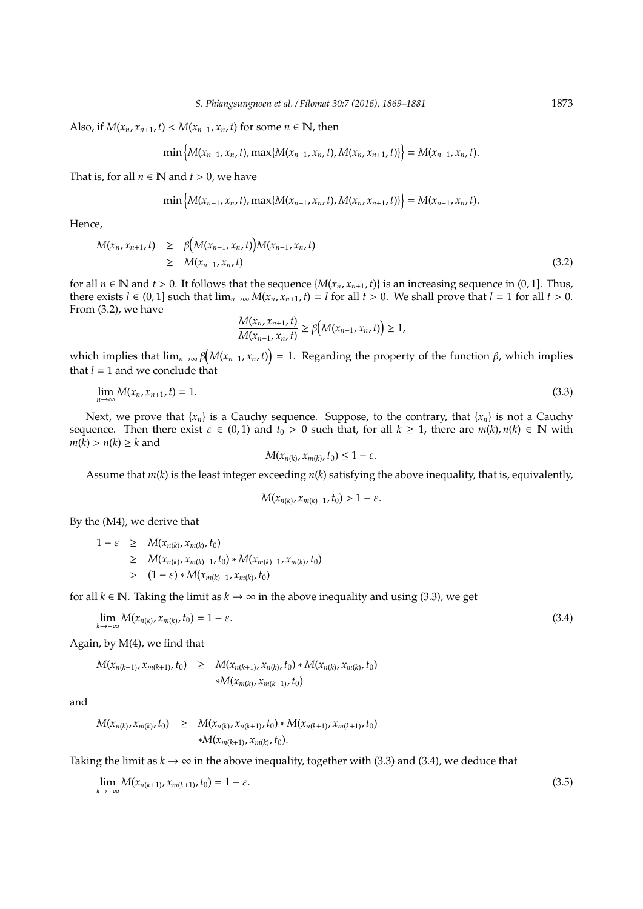Also, if  $M(x_n, x_{n+1}, t) < M(x_{n-1}, x_n, t)$  for some  $n \in \mathbb{N}$ , then

$$
\min\left\{M(x_{n-1},x_n,t),\max\{M(x_{n-1},x_n,t),M(x_n,x_{n+1},t)\}\right\}=M(x_{n-1},x_n,t).
$$

That is, for all  $n \in \mathbb{N}$  and  $t > 0$ , we have

$$
\min\left\{M(x_{n-1},x_n,t),\max\{M(x_{n-1},x_n,t),M(x_n,x_{n+1},t)\}\right\}=M(x_{n-1},x_n,t).
$$

Hence,

$$
M(x_n, x_{n+1}, t) \geq \beta \Big( M(x_{n-1}, x_n, t) \Big) M(x_{n-1}, x_n, t) \geq M(x_{n-1}, x_n, t) \tag{3.2}
$$

for all  $n \in \mathbb{N}$  and  $t > 0$ . It follows that the sequence { $M(x_n, x_{n+1}, t)$ } is an increasing sequence in (0, 1]. Thus, there exists  $l \in (0, 1]$  such that  $\lim_{n\to\infty} M(x_n, x_{n+1}, t) = l$  for all  $t > 0$ . We shall prove that  $l = 1$  for all  $t > 0$ . From (3.2), we have

$$
\frac{M(x_n, x_{n+1}, t)}{M(x_{n-1}, x_n, t)} \geq \beta(M(x_{n-1}, x_n, t)) \geq 1,
$$

which implies that  $\lim_{n\to\infty} \beta(M(x_{n-1},x_n,t)) = 1$ . Regarding the property of the function  $\beta$ , which implies that  $l = 1$  and we conclude that

$$
\lim_{n \to \infty} M(x_n, x_{n+1}, t) = 1. \tag{3.3}
$$

Next, we prove that  ${x_n}$  is a Cauchy sequence. Suppose, to the contrary, that  ${x_n}$  is not a Cauchy sequence. Then there exist  $\varepsilon \in (0,1)$  and  $t_0 > 0$  such that, for all  $k \ge 1$ , there are  $m(k)$ ,  $n(k) \in \mathbb{N}$  with  $m(\bar{k}) > n(k) \geq k$  and

$$
M(x_{n(k)}, x_{m(k)}, t_0) \leq 1 - \varepsilon.
$$

Assume that  $m(k)$  is the least integer exceeding  $n(k)$  satisfying the above inequality, that is, equivalently,

$$
M(x_{n(k)},x_{m(k)-1},t_0)>1-\varepsilon.
$$

By the (M4), we derive that

$$
1 - \varepsilon \geq M(x_{n(k)}, x_{m(k)}, t_0)
$$
  
\n
$$
\geq M(x_{n(k)}, x_{m(k)-1}, t_0) * M(x_{m(k)-1}, x_{m(k)}, t_0)
$$
  
\n
$$
> (1 - \varepsilon) * M(x_{m(k)-1}, x_{m(k)}, t_0)
$$

for all  $k \in \mathbb{N}$ . Taking the limit as  $k \to \infty$  in the above inequality and using (3.3), we get

$$
\lim_{k \to +\infty} M(x_{n(k)}, x_{m(k)}, t_0) = 1 - \varepsilon. \tag{3.4}
$$

Again, by M(4), we find that

 $M(x_{n(k+1)}, x_{m(k+1)}, t_0) \geq M(x_{n(k+1)}, x_{n(k)}, t_0) * M(x_{n(k)}, x_{m(k)}, t_0)$ ∗*M*(*x<sup>m</sup>*(*k*) , *x<sup>m</sup>*(*k*+1), *t*0)

and

$$
M(x_{n(k)}, x_{m(k)}, t_0) \geq M(x_{n(k)}, x_{n(k+1)}, t_0) * M(x_{n(k+1)}, x_{m(k+1)}, t_0)
$$
  
 
$$
*M(x_{m(k+1)}, x_{m(k)}, t_0).
$$

Taking the limit as  $k \to \infty$  in the above inequality, together with (3.3) and (3.4), we deduce that

$$
\lim_{k \to +\infty} M(x_{n(k+1)}, x_{m(k+1)}, t_0) = 1 - \varepsilon. \tag{3.5}
$$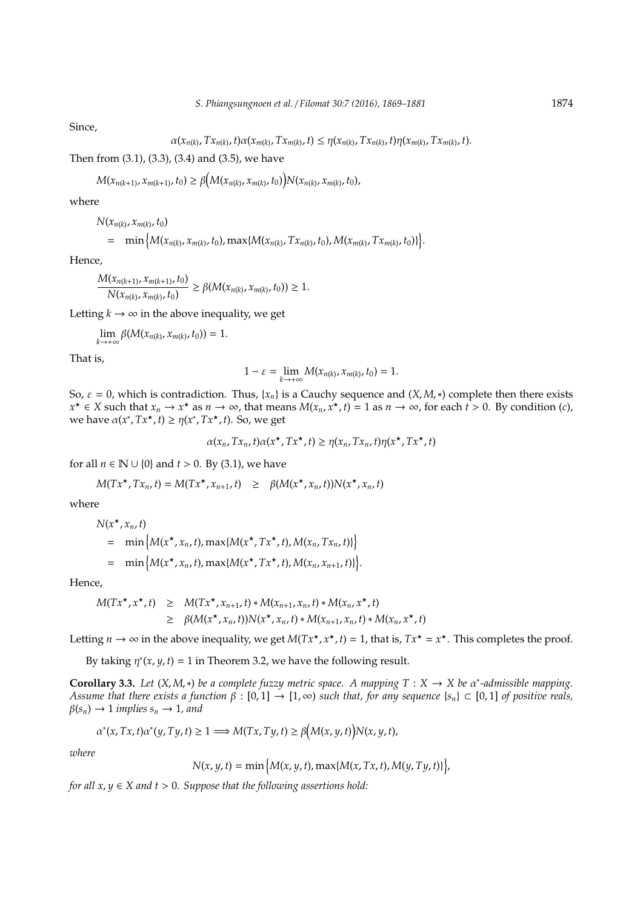Since,

$$
\alpha(x_{n(k)}, Tx_{n(k)}, t)\alpha(x_{m(k)}, Tx_{m(k)}, t) \leq \eta(x_{n(k)}, Tx_{n(k)}, t)\eta(x_{m(k)}, Tx_{m(k)}, t).
$$

Then from (3.1), (3.3), (3.4) and (3.5), we have

$$
M(x_{n(k+1)}, x_{m(k+1)}, t_0) \geq \beta \big(M(x_{n(k)}, x_{m(k)}, t_0)\big) N(x_{n(k)}, x_{m(k)}, t_0),
$$

where

*N*( $x_{n(k)}$ ,  $x_{m(k)}$ ,  $t_0$ )

$$
= \min \big\{ M(x_{n(k)}, x_{m(k)}, t_0), \max \{ M(x_{n(k)}, Tx_{n(k)}, t_0), M(x_{m(k)}, Tx_{m(k)}, t_0) \} \big\}.
$$

Hence,

$$
\frac{M(x_{n(k+1)}, x_{m(k+1)}, t_0)}{N(x_{n(k)}, x_{m(k)}, t_0)} \geq \beta(M(x_{n(k)}, x_{m(k)}, t_0)) \geq 1.
$$

Letting  $k \to \infty$  in the above inequality, we get

$$
\lim_{k\to+\infty}\beta(M(x_{n(k)},x_{m(k)},t_0))=1.
$$

That is,

$$
1 - \varepsilon = \lim_{k \to +\infty} M(x_{n(k)}, x_{m(k)}, t_0) = 1.
$$

So,  $\varepsilon = 0$ , which is contradiction. Thus, { $x_n$ } is a Cauchy sequence and (*X*, *M*, \*) complete then there exists *x*<sup>★</sup> ∈ *X* such that  $x_n \to x^*$  as  $n \to \infty$ , that means  $M(x_n, x^*$ ,  $t) = 1$  as  $n \to \infty$ , for each  $t > 0$ . By condition (*c*), we have  $\alpha(x^*, Tx^*, t) \geq \eta(x^*, Tx^*, t)$ . So, we get

$$
\alpha(x_n, Tx_n, t)\alpha(x^{\star}, Tx^{\star}, t) \geq \eta(x_n, Tx_n, t)\eta(x^{\star}, Tx^{\star}, t)
$$

for all  $n \in \mathbb{N} \cup \{0\}$  and  $t > 0$ . By (3.1), we have

$$
M(Tx^{\star},Tx_n,t) = M(Tx^{\star},x_{n+1},t) \geq \beta(M(x^{\star},x_n,t))N(x^{\star},x_n,t)
$$

where

$$
N(x^*, x_n, t)
$$
  
= min { $M(x^*, x_n, t)$ , max{ $M(x^*, Tx^*, t)$ ,  $M(x_n, Tx_n, t)$ }  
= min { $M(x^*, x_n, t)$ , max{ $M(x^*, Tx^*, t)$ ,  $M(x_n, x_{n+1}, t)$ }

Hence,

$$
M(Tx^*, x^*, t) \geq M(Tx^*, x_{n+1}, t) * M(x_{n+1}, x_n, t) * M(x_n, x^*, t)
$$
  
\n
$$
\geq \beta(M(x^*, x_n, t))N(x^*, x_n, t) * M(x_{n+1}, x_n, t) * M(x_n, x^*, t)
$$

Letting  $n \to \infty$  in the above inequality, we get  $M(Tx^*, x^*, t) = 1$ , that is,  $Tx^* = x^*$ . This completes the proof.

By taking  $\eta^*(x, y, t) = 1$  in Theorem 3.2, we have the following result.

**Corollary 3.3.** Let  $(X, M, *)$  be a complete fuzzy metric space. A mapping  $T : X \to X$  be  $\alpha^*$ -admissible mapping. *Assume that there exists a function*  $\beta : [0,1] \rightarrow [1,\infty)$  *such that, for any sequence*  $\{s_n\} \subset [0,1]$  *of positive reals,*  $\beta(s_n) \to 1$  *implies*  $s_n \to 1$ *, and* 

$$
\alpha^*(x, Tx, t)\alpha^*(y, Ty, t) \ge 1 \Longrightarrow M(Tx, Ty, t) \ge \beta(M(x, y, t))N(x, y, t),
$$

*where*

$$
N(x, y, t) = \min \{ M(x, y, t), \max \{ M(x, Tx, t), M(y, Ty, t) \} \},
$$

o

*for all*  $x, y \in X$  *and*  $t > 0$ *. Suppose that the following assertions hold:*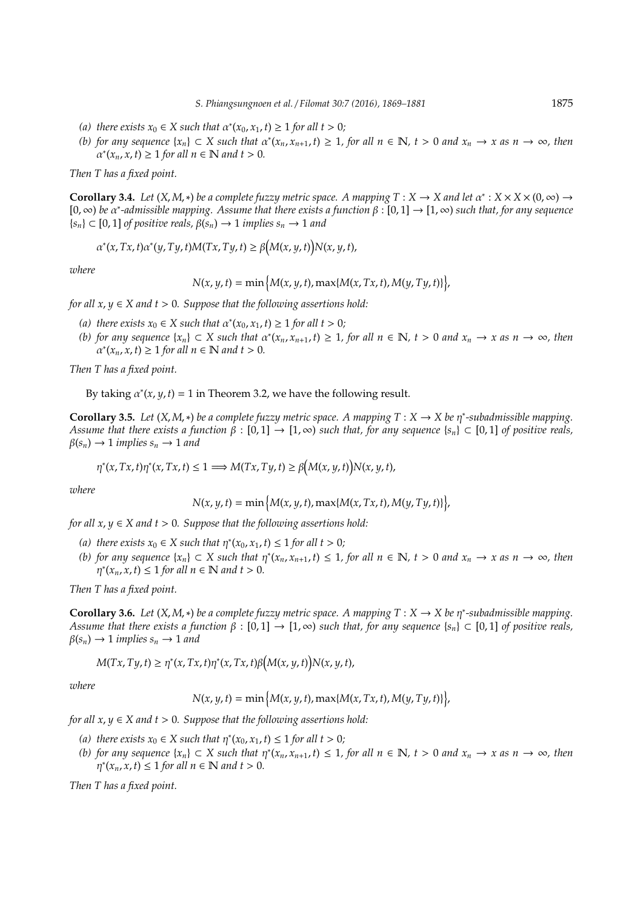- (a) there exists  $x_0 \in X$  such that  $\alpha^*(x_0, x_1, t) \ge 1$  for all  $t > 0$ ;
- (b) for any sequence  $\{x_n\} \subset X$  such that  $\alpha^*(x_n, x_{n+1}, t) \ge 1$ , for all  $n \in \mathbb{N}$ ,  $t > 0$  and  $x_n \to x$  as  $n \to \infty$ , then  $\alpha^*(x_n, x, t) \geq 1$  for all  $n \in \mathbb{N}$  and  $t > 0$ .

*Then T has a fixed point.*

**Corollary 3.4.** *Let*  $(X, M, *)$  *be a complete fuzzy metric space. A mapping*  $T : X \to X$  *and let*  $\alpha^* : X \times X \times (0, \infty) \to X$ [0, ∞) *be* α ∗ *-admissible mapping. Assume that there exists a function* β : [0, 1] → [1, ∞) *such that, for any sequence*  ${s_n} \subset [0, 1]$  *of positive reals,*  $\beta(s_n) \to 1$  *implies*  $s_n \to 1$  *and* 

$$
\alpha^*(x, Tx, t)\alpha^*(y, Ty, t)M(Tx, Ty, t) \ge \beta(M(x, y, t))N(x, y, t),
$$

*where*

$$
N(x, y, t) = \min\big\{M(x, y, t), \max\{M(x, Tx, t), M(y, Ty, t)\}\big\},
$$

*for all*  $x, y \in X$  *and*  $t > 0$ *. Suppose that the following assertions hold:* 

- (a) there exists  $x_0 \in X$  such that  $\alpha^*(x_0, x_1, t) \ge 1$  for all  $t > 0$ ;
- (b) for any sequence  $\{x_n\} \subset X$  such that  $\alpha^*(x_n, x_{n+1}, t) \ge 1$ , for all  $n \in \mathbb{N}$ ,  $t > 0$  and  $x_n \to x$  as  $n \to \infty$ , then  $\alpha^*(x_n, x, t) \geq 1$  for all  $n \in \mathbb{N}$  and  $t > 0$ .

*Then T has a fixed point.*

By taking  $\alpha^*(x, y, t) = 1$  in Theorem 3.2, we have the following result.

**Corollary 3.5.** Let  $(X, M, *)$  be a complete fuzzy metric space. A mapping  $T : X \to X$  be  $\eta^*$ -subadmissible mapping. *Assume that there exists a function* β : [0, 1] → [1, ∞) *such that, for any sequence* {*sn*} ⊂ [0, 1] *of positive reals,*  $\beta(s_n) \to 1$  *implies*  $s_n \to 1$  *and* 

$$
\eta^*(x, Tx, t)\eta^*(x, Tx, t) \le 1 \Longrightarrow M(Tx, Ty, t) \ge \beta(M(x, y, t))N(x, y, t),
$$

*where*

$$
N(x, y, t) = \min\big\{M(x, y, t), \max\{M(x, Tx, t), M(y, Ty, t)\}\big\},
$$

*for all*  $x, y \in X$  *and*  $t > 0$ *. Suppose that the following assertions hold:* 

- (a) there exists  $x_0 \in X$  such that  $\eta^*(x_0, x_1, t) \leq 1$  for all  $t > 0$ ;
- (*b*) for any sequence  $\{x_n\}$  ⊂ *X* such that  $\eta^*(x_n, x_{n+1}, t)$  ≤ 1, for all  $n \in \mathbb{N}$ ,  $t > 0$  and  $x_n \to x$  as  $n \to \infty$ , then  $\eta^*(x_n, x, t) \leq 1$  for all  $n \in \mathbb{N}$  and  $t > 0$ .

*Then T has a fixed point.*

**Corollary 3.6.** *Let*  $(X, M, *)$  *be a complete fuzzy metric space. A mapping*  $T : X \to X$  *be*  $\eta^*$ -subadmissible mapping. *Assume that there exists a function*  $\beta : [0,1] \to [1,\infty)$  *such that, for any sequence*  $\{s_n\} \subset [0,1]$  *of positive reals,*  $\beta(s_n) \to 1$  *implies*  $s_n \to 1$  *and* 

$$
M(Tx,Ty,t) \geq \eta^*(x,Tx,t)\eta^*(x,Tx,t)\beta(M(x,y,t))N(x,y,t),
$$

*where*

 $N(x, y, t) = \min \{ M(x, y, t), \max \{ M(x, Tx, t), M(y, Ty, t) \} \},$ 

*for all*  $x, y \in X$  *and*  $t > 0$ *. Suppose that the following assertions hold:* 

- (a) there exists  $x_0 \in X$  such that  $\eta^*(x_0, x_1, t) \leq 1$  for all  $t > 0$ ;
- (*b*) for any sequence  $\{x_n\}$  ⊂ *X* such that  $\eta^*(x_n, x_{n+1}, t)$  ≤ 1, for all  $n \in \mathbb{N}$ ,  $t > 0$  and  $x_n \to x$  as  $n \to \infty$ , then  $\eta^*(x_n, x, t) \leq 1$  for all  $n \in \mathbb{N}$  and  $t > 0$ .

*Then T has a fixed point.*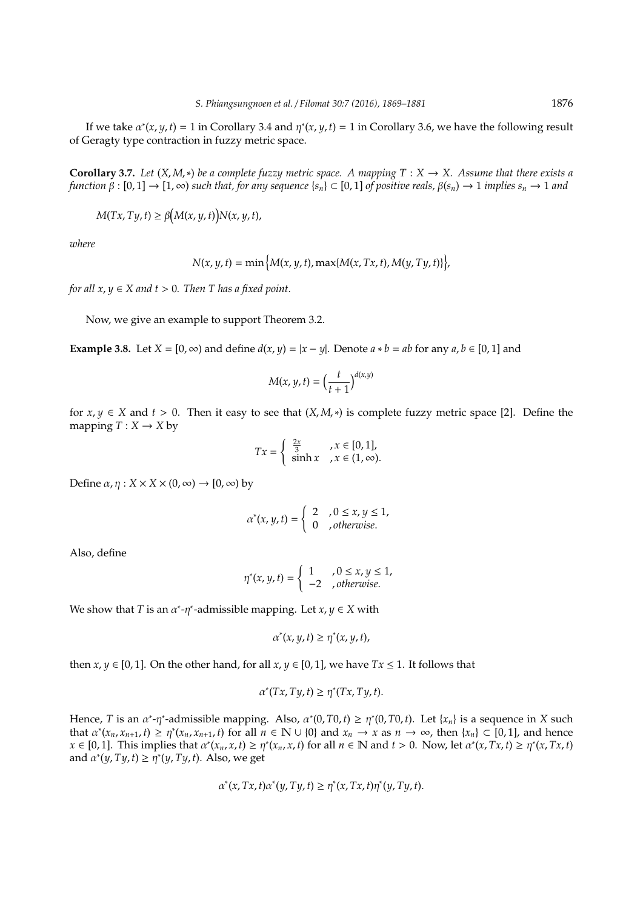If we take  $\alpha^*(x, y, t) = 1$  in Corollary 3.4 and  $\eta^*(x, y, t) = 1$  in Corollary 3.6, we have the following result of Geragty type contraction in fuzzy metric space.

**Corollary 3.7.** Let  $(X, M, *)$  be a complete fuzzy metric space. A mapping  $T : X \to X$ . Assume that there exists a *function*  $\beta : [0,1] \to [1,\infty)$  *such that, for any sequence*  $\{s_n\} \subset [0,1]$  *of positive reals,*  $\beta(s_n) \to 1$  *implies*  $s_n \to 1$  *and* 

$$
M(Tx, Ty, t) \ge \beta(M(x, y, t))N(x, y, t),
$$

*where*

$$
N(x, y, t) = \min \big\{ M(x, y, t), \max \{ M(x, Tx, t), M(y, Ty, t) \} \big\},
$$

*for all*  $x, y \in X$  *and*  $t > 0$ *. Then T has a fixed point.* 

Now, we give an example to support Theorem 3.2.

**Example 3.8.** Let  $X = [0, \infty)$  and define  $d(x, y) = |x - y|$ . Denote  $a * b = ab$  for any  $a, b \in [0, 1]$  and

$$
M(x, y, t) = \left(\frac{t}{t+1}\right)^{d(x, y)}
$$

for  $x, y \in X$  and  $t > 0$ . Then it easy to see that  $(X, M, *)$  is complete fuzzy metric space [2]. Define the mapping  $T: X \rightarrow X$  by

$$
Tx = \begin{cases} \frac{2x}{3} & , x \in [0, 1], \\ \sinh x & , x \in (1, \infty). \end{cases}
$$

Define  $\alpha$ ,  $\eta$  :  $X \times X \times (0, \infty) \rightarrow [0, \infty)$  by

$$
\alpha^*(x, y, t) = \begin{cases} 2 & , 0 \le x, y \le 1, \\ 0 & , otherwise. \end{cases}
$$

Also, define

$$
\eta^*(x, y, t) = \begin{cases} 1 & , 0 \le x, y \le 1, \\ -2 & , otherwise. \end{cases}
$$

We show that *T* is an  $\alpha^*$ - $\eta^*$ -admissible mapping. Let  $x, y \in X$  with

$$
\alpha^*(x, y, t) \geq \eta^*(x, y, t),
$$

then *x*,  $\gamma \in [0, 1]$ . On the other hand, for all *x*,  $\gamma \in [0, 1]$ , we have  $Tx \le 1$ . It follows that

$$
\alpha^*(Tx, Ty, t) \ge \eta^*(Tx, Ty, t).
$$

Hence, *T* is an  $\alpha^*$ - $\eta^*$ -admissible mapping. Also,  $\alpha^*(0, T0, t) \ge \eta^*(0, T0, t)$ . Let  $\{x_n\}$  is a sequence in *X* such that  $\alpha^*(x_n, x_{n+1}, t) \ge \eta^*(x_n, x_{n+1}, t)$  for all  $n \in \mathbb{N} \cup \{0\}$  and  $x_n \to x$  as  $n \to \infty$ , then  $\{x_n\} \subset [0, 1]$ , and hence  $x \in [0, 1]$ . This implies that  $\alpha^*(x_n, x, t) \ge \eta^*(x_n, x, t)$  for all  $n \in \mathbb{N}$  and  $t > 0$ . Now, let  $\alpha^*(x, Tx, t) \ge \eta^*(x, Tx, t)$ and  $\alpha^*(y, Ty, t) \geq \eta^*(y, Ty, t)$ . Also, we get

$$
\alpha^*(x, Tx, t)\alpha^*(y, Ty, t) \ge \eta^*(x, Tx, t)\eta^*(y, Ty, t).
$$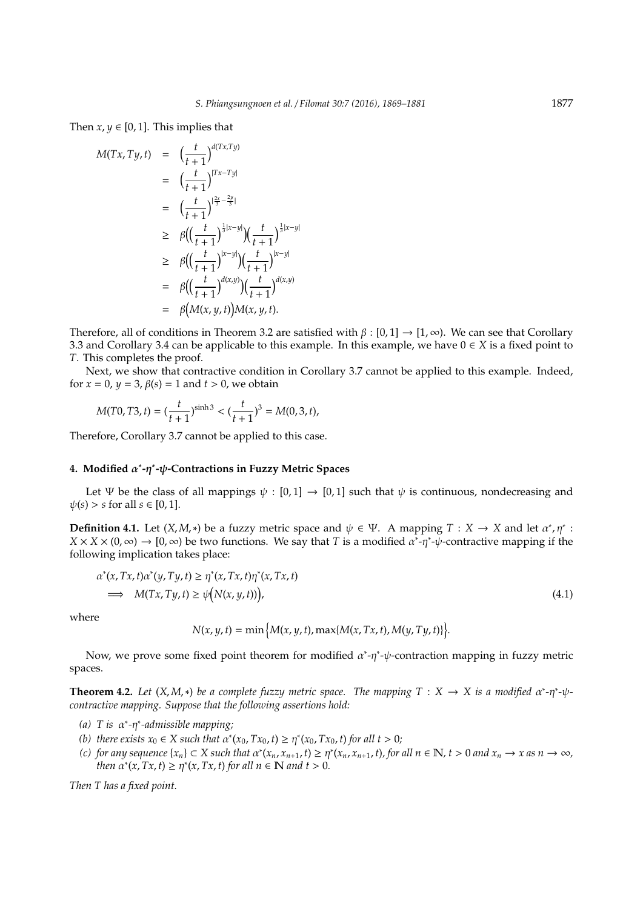Then  $x, y \in [0, 1]$ . This implies that

$$
M(Tx, Ty, t) = \left(\frac{t}{t+1}\right)^{d(Tx, Ty)}
$$
  
\n
$$
= \left(\frac{t}{t+1}\right)^{|Tx-Ty|}
$$
  
\n
$$
= \left(\frac{t}{t+1}\right)^{\left|\frac{2x}{3}-\frac{2y}{3}\right|}
$$
  
\n
$$
\geq \beta \Big(\Big(\frac{t}{t+1}\Big)^{\frac{1}{3}|x-y|}\Big) \Big(\frac{t}{t+1}\Big)^{\frac{1}{3}|x-y|}
$$
  
\n
$$
\geq \beta \Big(\Big(\frac{t}{t+1}\Big)^{|x-y|}\Big) \Big(\frac{t}{t+1}\Big)^{|x-y|}
$$
  
\n
$$
= \beta \Big(\Big(\frac{t}{t+1}\Big)^{d(x,y)}\Big) \Big(\frac{t}{t+1}\Big)^{d(x,y)}
$$
  
\n
$$
= \beta \Big(M(x, y, t)\Big)M(x, y, t).
$$

Therefore, all of conditions in Theorem 3.2 are satisfied with  $\beta$  : [0,1]  $\rightarrow$  [1,  $\infty$ ). We can see that Corollary 3.3 and Corollary 3.4 can be applicable to this example. In this example, we have 0 ∈ *X* is a fixed point to *T*. This completes the proof.

Next, we show that contractive condition in Corollary 3.7 cannot be applied to this example. Indeed, for  $x = 0$ ,  $y = 3$ ,  $\beta(s) = 1$  and  $t > 0$ , we obtain

$$
M(T0, T3, t) = \left(\frac{t}{t+1}\right)^{\sinh 3} < \left(\frac{t}{t+1}\right)^3 = M(0, 3, t),
$$

Therefore, Corollary 3.7 cannot be applied to this case.

# **4. Modified** α ∗ **-**η ∗ **-**ψ**-Contractions in Fuzzy Metric Spaces**

Let Ψ be the class of all mappings  $\psi : [0,1] \rightarrow [0,1]$  such that  $\psi$  is continuous, nondecreasing and  $\psi(s) > s$  for all  $s \in [0, 1]$ .

**Definition 4.1.** Let  $(X, M, *)$  be a fuzzy metric space and  $\psi \in \Psi$ . A mapping  $T : X \to X$  and let  $\alpha^*, \eta^*$ :  $X \times X \times (0, \infty) \to [0, \infty)$  be two functions. We say that *T* is a modified  $\alpha^*$ -*η*<sup>\*</sup>- $\psi$ -contractive mapping if the following implication takes place:

$$
\alpha^*(x, Tx, t)\alpha^*(y, Ty, t) \ge \eta^*(x, Tx, t)\eta^*(x, Tx, t)
$$
\n
$$
\implies M(Tx, Ty, t) \ge \psi(N(x, y, t))
$$
\n(4.1)

where

$$
N(x, y, t) = \min \{ M(x, y, t), \max \{ M(x, Tx, t), M(y, Ty, t) \} \}.
$$

Now, we prove some fixed point theorem for modified  $\alpha^*$ - $\eta^*$ - $\psi$ -contraction mapping in fuzzy metric spaces.

**Theorem 4.2.** Let  $(X, M, *)$  be a complete fuzzy metric space. The mapping  $T : X \to X$  is a modified  $\alpha^*$ - $\eta^*$ - $\psi$ *contractive mapping. Suppose that the following assertions hold:*

- *(a) T is* α ∗ *-*η ∗ *-admissible mapping;*
- (b) there exists  $x_0 \in X$  such that  $\alpha^*(x_0, Tx_0, t) \geq \eta^*(x_0, Tx_0, t)$  for all  $t > 0$ ;
- (c) for any sequence  $\{x_n\} \subset X$  such that  $\alpha^*(x_n, x_{n+1}, t) \geq \eta^*(x_n, x_{n+1}, t)$ , for all  $n \in \mathbb{N}$ ,  $t > 0$  and  $x_n \to x$  as  $n \to \infty$ , *then*  $\alpha^*(x, Tx, t) \geq \eta^*(x, Tx, t)$  *for all*  $n \in \mathbb{N}$  *and*  $t > 0$ *.*

*Then T has a fixed point.*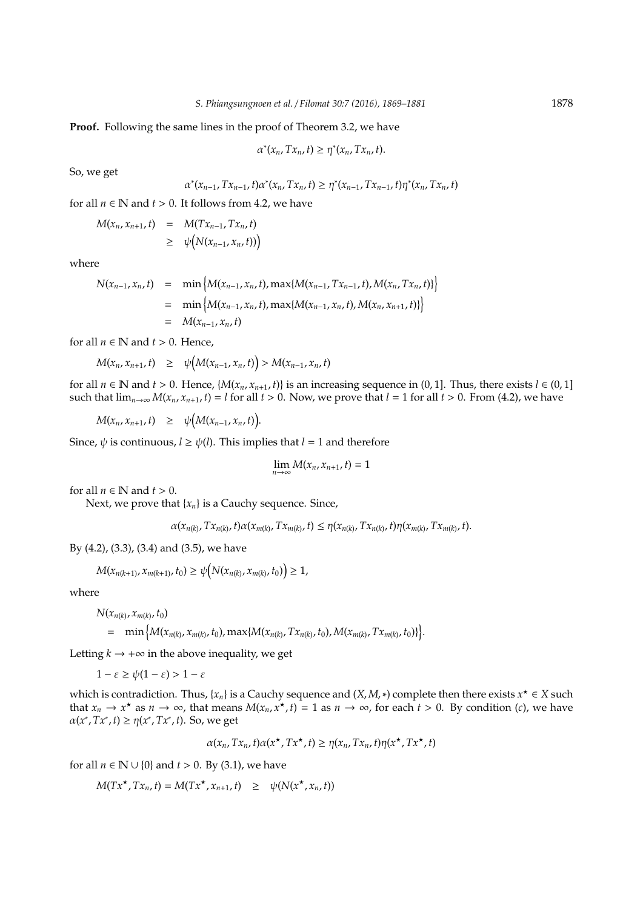**Proof.** Following the same lines in the proof of Theorem 3.2, we have

$$
\alpha^*(x_n, Tx_n, t) \geq \eta^*(x_n, Tx_n, t).
$$

So, we get

$$
\alpha^*(x_{n-1}, Tx_{n-1}, t)\alpha^*(x_n, Tx_n, t) \geq \eta^*(x_{n-1}, Tx_{n-1}, t)\eta^*(x_n, Tx_n, t)
$$

for all  $n \in \mathbb{N}$  and  $t > 0$ . It follows from 4.2, we have

$$
M(x_n, x_{n+1}, t) = M(Tx_{n-1}, Tx_n, t)
$$
  
\n
$$
\geq \psi(N(x_{n-1}, x_n, t))
$$

where

$$
N(x_{n-1}, x_n, t) = \min \{M(x_{n-1}, x_n, t), \max\{M(x_{n-1}, Tx_{n-1}, t), M(x_n, Tx_n, t)\}\}
$$
  
=  $\min \{M(x_{n-1}, x_n, t), \max\{M(x_{n-1}, x_n, t), M(x_n, x_{n+1}, t)\}\}$   
=  $M(x_{n-1}, x_n, t)$ 

for all  $n \in \mathbb{N}$  and  $t > 0$ . Hence,

$$
M(x_n, x_{n+1}, t) \geq \psi(M(x_{n-1}, x_n, t)) > M(x_{n-1}, x_n, t)
$$

 $\sim$ 

for all  $n \in \mathbb{N}$  and  $t > 0$ . Hence,  $\{M(x_n, x_{n+1}, t)\}$  is an increasing sequence in  $(0, 1]$ . Thus, there exists  $l \in (0, 1]$ such that  $\lim_{n\to\infty} M(x_n, x_{n+1}, t) = l$  for all  $t > 0$ . Now, we prove that  $l = 1$  for all  $t > 0$ . From (4.2), we have

 $M(x_n, x_{n+1}, t) \geq \psi(M(x_{n-1}, x_n, t)).$ 

Since,  $\psi$  is continuous,  $l \geq \psi(l)$ . This implies that  $l = 1$  and therefore

$$
\lim_{n\to\infty} M(x_n,x_{n+1},t)=1
$$

for all  $n \in \mathbb{N}$  and  $t > 0$ .

Next, we prove that  ${x_n}$  is a Cauchy sequence. Since,

$$
\alpha(x_{n(k)}, Tx_{n(k)}, t)\alpha(x_{m(k)}, Tx_{m(k)}, t) \leq \eta(x_{n(k)}, Tx_{n(k)}, t)\eta(x_{m(k)}, Tx_{m(k)}, t).
$$

By (4.2), (3.3), (3.4) and (3.5), we have

$$
M(x_{n(k+1)}, x_{m(k+1)}, t_0) \geq \psi(N(x_{n(k)}, x_{m(k)}, t_0)) \geq 1,
$$

where

$$
N(x_{n(k)}, x_{m(k)}, t_0)
$$
  
= min { $M(x_{n(k)}, x_{m(k)}, t_0)$ , max{ $M(x_{n(k)}, Tx_{n(k)}, t_0)$ ,  $M(x_{m(k)}, Tx_{m(k)}, t_0)$ } }.

Letting  $k \rightarrow +\infty$  in the above inequality, we get

$$
1 - \varepsilon \ge \psi(1 - \varepsilon) > 1 - \varepsilon
$$

which is contradiction. Thus,  $\{x_n\}$  is a Cauchy sequence and  $(X, M, *)$  complete then there exists  $x^* \in X$  such that  $x_n \to x^*$  as  $n \to \infty$ , that means  $M(x_n, x^*, t) = 1$  as  $n \to \infty$ , for each  $t > 0$ . By condition (*c*), we have  $\alpha(x^*, Tx^*, t) \geq \eta(x^*, Tx^*, t)$ . So, we get

$$
\alpha(x_n, Tx_n, t)\alpha(x^\star, Tx^\star, t) \geq \eta(x_n, Tx_n, t)\eta(x^\star, Tx^\star, t)
$$

for all  $n \in \mathbb{N} \cup \{0\}$  and  $t > 0$ . By (3.1), we have

 $M(Tx^* , Tx_n, t) = M(Tx^* , x_{n+1}, t) \geq \psi(N(x^* , x_n, t))$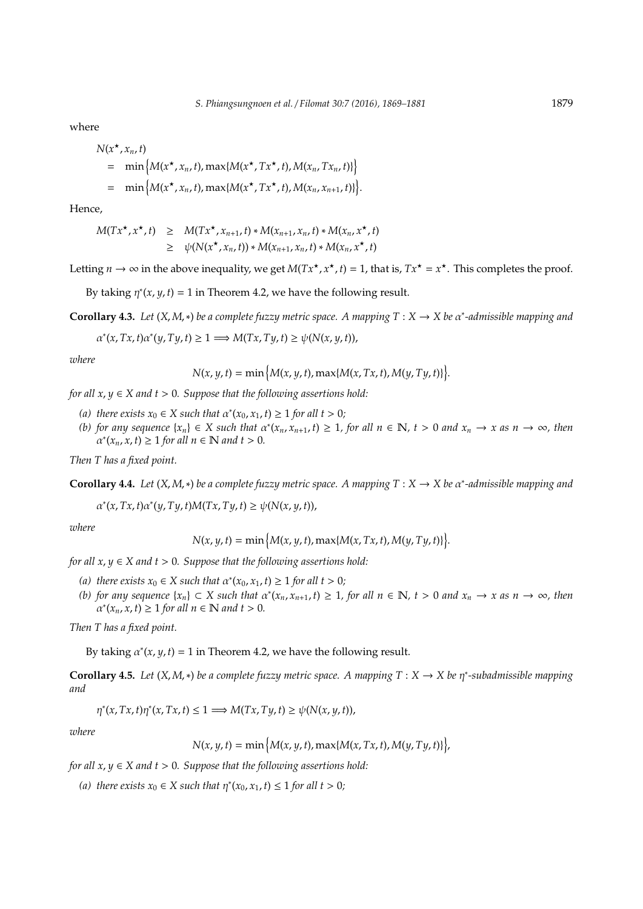where

$$
N(x^*, x_n, t)
$$
  
= min { $M(x^*, x_n, t)$ , max{ $M(x^*, Tx^*, t)$ ,  $M(x_n, Tx_n, t)$ }  
= min { $M(x^*, x_n, t)$ , max{ $M(x^*, Tx^*, t)$ ,  $M(x_n, x_{n+1}, t)$ } $].$ 

Hence,

$$
M(Tx^{\star}, x^{\star}, t) \geq M(Tx^{\star}, x_{n+1}, t) * M(x_{n+1}, x_n, t) * M(x_n, x^{\star}, t)
$$
  
 
$$
\geq \psi(N(x^{\star}, x_n, t)) * M(x_{n+1}, x_n, t) * M(x_n, x^{\star}, t)
$$

Letting  $n \to \infty$  in the above inequality, we get  $M(Tx^*, x^*, t) = 1$ , that is,  $Tx^* = x^*$ . This completes the proof.

By taking  $\eta^*(x, y, t) = 1$  in Theorem 4.2, we have the following result.

**Corollary 4.3.** *Let* (*X*, *M*,∗) *be a complete fuzzy metric space. A mapping T* : *X* → *X be* α ∗ *-admissible mapping and*

 $\alpha^*(x, Tx, t) \alpha^*(y, Ty, t) \geq 1 \Longrightarrow M(Tx, Ty, t) \geq \psi(N(x, y, t)),$ 

*where*

$$
N(x, y, t) = \min \big\{ M(x, y, t), \max \{ M(x, Tx, t), M(y, Ty, t) \} \big\}.
$$

*for all*  $x, y \in X$  *and*  $t > 0$ *. Suppose that the following assertions hold:* 

- (a) there exists  $x_0 \in X$  such that  $\alpha^*(x_0, x_1, t) \ge 1$  for all  $t > 0$ ;
- (b) for any sequence  $\{x_n\} \in X$  such that  $\alpha^*(x_n, x_{n+1}, t) \ge 1$ , for all  $n \in \mathbb{N}$ ,  $t > 0$  and  $x_n \to x$  as  $n \to \infty$ , then  $\left( \alpha^*(x_n, x, t) \right) \geq 1$  for all  $n \in \mathbb{N}$  and  $t > 0$ .

*Then T has a fixed point.*

**Corollary 4.4.** *Let* (*X*, *M*,∗) *be a complete fuzzy metric space. A mapping T* : *X* → *X be* α ∗ *-admissible mapping and*

 $\alpha^*(x, Tx, t) \alpha^*(y, Ty, t) M(Tx, Ty, t) \ge \psi(N(x, y, t)),$ 

*where*

$$
N(x, y, t) = \min \big\{ M(x, y, t), \max \{ M(x, Tx, t), M(y, Ty, t) \} \big\}.
$$

*for all*  $x, y \in X$  *and*  $t > 0$ *. Suppose that the following assertions hold:* 

- (a) there exists  $x_0 \in X$  such that  $\alpha^*(x_0, x_1, t) \ge 1$  for all  $t > 0$ ;
- (b) for any sequence  $\{x_n\} \subset X$  such that  $\alpha^*(x_n, x_{n+1}, t) \ge 1$ , for all  $n \in \mathbb{N}$ ,  $t > 0$  and  $x_n \to x$  as  $n \to \infty$ , then  $\alpha^*(x_n, x, t) \geq 1$  for all  $n \in \mathbb{N}$  and  $t > 0$ .

*Then T has a fixed point.*

By taking  $\alpha^*(x, y, t) = 1$  in Theorem 4.2, we have the following result.

**Corollary 4.5.** *Let* (*X*, *M*,∗) *be a complete fuzzy metric space. A mapping T* : *X* → *X be* η ∗ *-subadmissible mapping and*

$$
\eta^*(x, Tx, t)\eta^*(x, Tx, t) \le 1 \Longrightarrow M(Tx, Ty, t) \ge \psi(N(x, y, t)),
$$

*where*

$$
N(x, y, t) = \min\left\{M(x, y, t), \max\{M(x, Tx, t), M(y, Ty, t)\}\right\},\
$$

*for all*  $x, y \in X$  *and*  $t > 0$ *. Suppose that the following assertions hold:* 

(a) there exists  $x_0 \in X$  such that  $\eta^*(x_0, x_1, t) \leq 1$  for all  $t > 0$ ;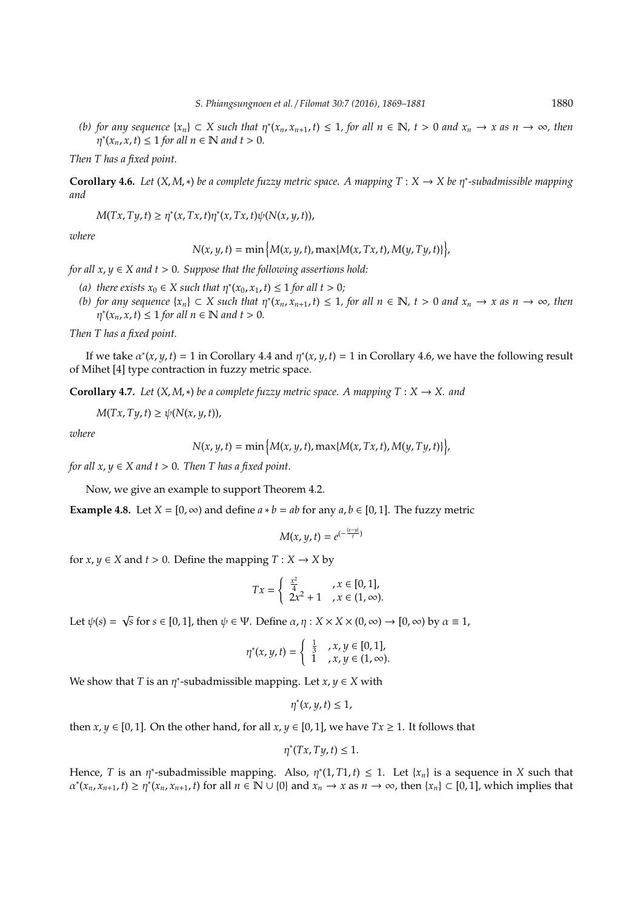(*b*) for any sequence  $\{x_n\}$  ⊂ *X* such that  $\eta^*(x_n, x_{n+1}, t)$  ≤ 1, for all  $n \in \mathbb{N}$ ,  $t > 0$  and  $x_n \to x$  as  $n \to \infty$ , then  $(\eta^*(x_n, x, t) \leq 1 \text{ for all } n \in \mathbb{N} \text{ and } t > 0.$ 

*Then T has a fixed point.*

**Corollary 4.6.** *Let* (*X*, *M*,∗) *be a complete fuzzy metric space. A mapping T* : *X* → *X be* η ∗ *-subadmissible mapping and*

 $M(Tx, Ty, t) \geq \eta^*(x, Tx, t)\eta^*(x, Tx, t)\psi(N(x, y, t)),$ 

*where*

 $N(x, y, t) = \min \left\{ M(x, y, t), \max \{ M(x, Tx, t), M(y, Ty, t) \} \right\},$ 

*for all*  $x, y \in X$  *and*  $t > 0$ *. Suppose that the following assertions hold:* 

- (a) there exists  $x_0 \in X$  such that  $\eta^*(x_0, x_1, t) \leq 1$  for all  $t > 0$ ;
- (*b*) for any sequence  $\{x_n\}$  ⊂ *X* such that  $\eta^*(x_n, x_{n+1}, t)$  ≤ 1, for all  $n \in \mathbb{N}$ ,  $t > 0$  and  $x_n \to x$  as  $n \to \infty$ , then  $\eta^*(x_n, x, t) \leq 1$  for all  $n \in \mathbb{N}$  and  $t > 0$ .

*Then T has a fixed point.*

If we take  $\alpha^*(x, y, t) = 1$  in Corollary 4.4 and  $\eta^*(x, y, t) = 1$  in Corollary 4.6, we have the following result of Mihet [4] type contraction in fuzzy metric space.

**Corollary 4.7.** *Let*  $(X, M, *)$  *be a complete fuzzy metric space. A mapping*  $T : X \rightarrow X$ *. and* 

 $M(Tx, Ty, t) \geq \psi(N(x, y, t)),$ 

*where*

 $N(x, y, t) = \min \{ M(x, y, t), \max \{ M(x, Tx, t), M(y, Ty, t) \} \},$ 

*for all*  $x, y \in X$  *and*  $t > 0$ *. Then T has a fixed point.* 

Now, we give an example to support Theorem 4.2.

**Example 4.8.** Let *X* = [0,  $\infty$ ) and define *a*  $*$  *b* = *ab* for any *a*, *b*  $\in$  [0, 1]. The fuzzy metric

$$
M(x, y, t) = e^{-\frac{|x-y|}{t}}
$$

for  $x, y \in X$  and  $t > 0$ . Define the mapping  $T : X \to X$  by

$$
Tx = \begin{cases} \frac{x^2}{4} & , x \in [0, 1], \\ 2x^2 + 1 & , x \in (1, \infty). \end{cases}
$$

Let  $\psi(s)$  =  $\sqrt{s}$  for *s* ∈ [0, 1], then  $\psi$  ∈ Ψ. Define  $\alpha$ ,  $\eta$  : *X* × *X* × (0, ∞) → [0, ∞) by  $\alpha$  ≡ 1,

$$
\eta^*(x, y, t) = \begin{cases} \frac{1}{3} & , x, y \in [0, 1], \\ 1 & , x, y \in (1, \infty). \end{cases}
$$

We show that *T* is an  $\eta^*$ -subadmissible mapping. Let  $x, y \in X$  with

 $\eta^*(x, y, t) \leq 1$ ,

then *x*, *y*  $\in$  [0, 1]. On the other hand, for all *x*, *y*  $\in$  [0, 1], we have  $Tx \ge 1$ . It follows that

$$
\eta^*(Tx, Ty, t) \leq 1.
$$

Hence, *T* is an  $\eta^*$ -subadmissible mapping. Also,  $\eta^*(1, T1, t) \leq 1$ . Let  $\{x_n\}$  is a sequence in *X* such that  $\alpha^*(x_n, x_{n+1}, t) \ge \eta^*(x_n, x_{n+1}, t)$  for all  $n \in \mathbb{N} \cup \{0\}$  and  $x_n \to x$  as  $n \to \infty$ , then  $\{x_n\} \subset [0, 1]$ , which implies that